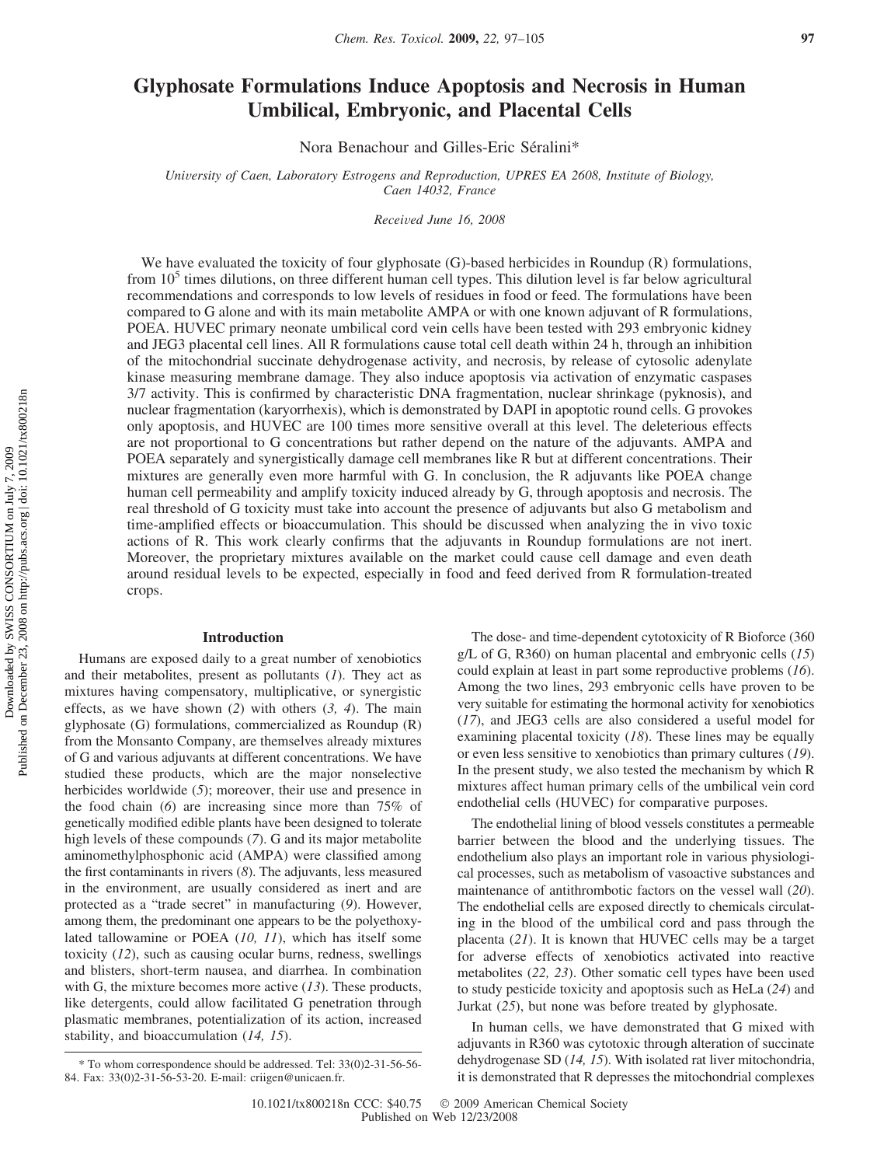# **Glyphosate Formulations Induce Apoptosis and Necrosis in Human Umbilical, Embryonic, and Placental Cells**

Nora Benachour and Gilles-Eric Séralini\*

*University of Caen, Laboratory Estrogens and Reproduction, UPRES EA 2608, Institute of Biology, Caen 14032, France*

*Recei*V*ed June 16, 2008*

We have evaluated the toxicity of four glyphosate (G)-based herbicides in Roundup (R) formulations, from 105 times dilutions, on three different human cell types. This dilution level is far below agricultural recommendations and corresponds to low levels of residues in food or feed. The formulations have been compared to G alone and with its main metabolite AMPA or with one known adjuvant of R formulations, POEA. HUVEC primary neonate umbilical cord vein cells have been tested with 293 embryonic kidney and JEG3 placental cell lines. All R formulations cause total cell death within 24 h, through an inhibition of the mitochondrial succinate dehydrogenase activity, and necrosis, by release of cytosolic adenylate kinase measuring membrane damage. They also induce apoptosis via activation of enzymatic caspases 3/7 activity. This is confirmed by characteristic DNA fragmentation, nuclear shrinkage (pyknosis), and nuclear fragmentation (karyorrhexis), which is demonstrated by DAPI in apoptotic round cells. G provokes only apoptosis, and HUVEC are 100 times more sensitive overall at this level. The deleterious effects are not proportional to G concentrations but rather depend on the nature of the adjuvants. AMPA and POEA separately and synergistically damage cell membranes like R but at different concentrations. Their mixtures are generally even more harmful with G. In conclusion, the R adjuvants like POEA change human cell permeability and amplify toxicity induced already by G, through apoptosis and necrosis. The real threshold of G toxicity must take into account the presence of adjuvants but also G metabolism and time-amplified effects or bioaccumulation. This should be discussed when analyzing the in vivo toxic actions of R. This work clearly confirms that the adjuvants in Roundup formulations are not inert. Moreover, the proprietary mixtures available on the market could cause cell damage and even death around residual levels to be expected, especially in food and feed derived from R formulation-treated crops.

# **Introduction**

Humans are exposed daily to a great number of xenobiotics and their metabolites, present as pollutants (*1*). They act as mixtures having compensatory, multiplicative, or synergistic effects, as we have shown (*2*) with others (*3, 4*). The main glyphosate (G) formulations, commercialized as Roundup (R) from the Monsanto Company, are themselves already mixtures of G and various adjuvants at different concentrations. We have studied these products, which are the major nonselective herbicides worldwide (*5*); moreover, their use and presence in the food chain (*6*) are increasing since more than 75% of genetically modified edible plants have been designed to tolerate high levels of these compounds (*7*). G and its major metabolite aminomethylphosphonic acid (AMPA) were classified among the first contaminants in rivers (*8*). The adjuvants, less measured in the environment, are usually considered as inert and are protected as a "trade secret" in manufacturing (*9*). However, among them, the predominant one appears to be the polyethoxylated tallowamine or POEA (*10, 11*), which has itself some toxicity (*12*), such as causing ocular burns, redness, swellings and blisters, short-term nausea, and diarrhea. In combination with G, the mixture becomes more active (*13*). These products, like detergents, could allow facilitated G penetration through plasmatic membranes, potentialization of its action, increased stability, and bioaccumulation (*14, 15*).

The dose- and time-dependent cytotoxicity of R Bioforce (360 g/L of G, R360) on human placental and embryonic cells (*15*) could explain at least in part some reproductive problems (*16*). Among the two lines, 293 embryonic cells have proven to be very suitable for estimating the hormonal activity for xenobiotics (*17*), and JEG3 cells are also considered a useful model for examining placental toxicity (*18*). These lines may be equally or even less sensitive to xenobiotics than primary cultures (*19*). In the present study, we also tested the mechanism by which R mixtures affect human primary cells of the umbilical vein cord endothelial cells (HUVEC) for comparative purposes.

The endothelial lining of blood vessels constitutes a permeable barrier between the blood and the underlying tissues. The endothelium also plays an important role in various physiological processes, such as metabolism of vasoactive substances and maintenance of antithrombotic factors on the vessel wall (*20*). The endothelial cells are exposed directly to chemicals circulating in the blood of the umbilical cord and pass through the placenta (*21*). It is known that HUVEC cells may be a target for adverse effects of xenobiotics activated into reactive metabolites (*22, 23*). Other somatic cell types have been used to study pesticide toxicity and apoptosis such as HeLa (*24*) and Jurkat (*25*), but none was before treated by glyphosate.

In human cells, we have demonstrated that G mixed with adjuvants in R360 was cytotoxic through alteration of succinate dehydrogenase SD (*14, 15*). With isolated rat liver mitochondria, it is demonstrated that R depresses the mitochondrial complexes

<sup>\*</sup> To whom correspondence should be addressed. Tel: 33(0)2-31-56-56- 84. Fax: 33(0)2-31-56-53-20. E-mail: criigen@unicaen.fr.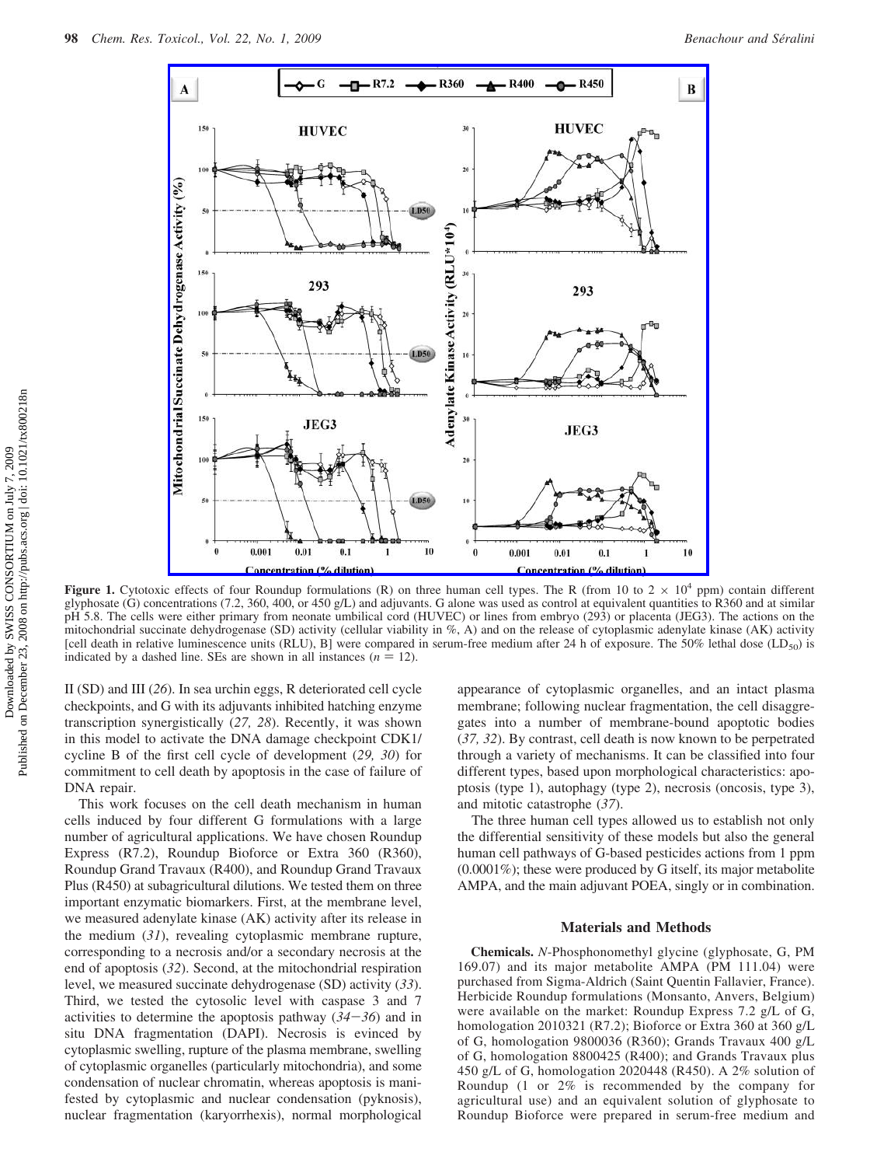

**Figure 1.** Cytotoxic effects of four Roundup formulations (R) on three human cell types. The R (from 10 to  $2 \times 10^4$  ppm) contain different glyphosate (G) concentrations (7.2, 360, 400, or 450 g/L) and adjuvants. G alone was used as control at equivalent quantities to R360 and at similar pH 5.8. The cells were either primary from neonate umbilical cord (HUVEC) or lines from embryo (293) or placenta (JEG3). The actions on the mitochondrial succinate dehydrogenase (SD) activity (cellular viability in %, A) and on the release of cytoplasmic adenylate kinase (AK) activity [cell death in relative luminescence units (RLU), B] were compared in serum-free medium after 24 h of exposure. The 50% lethal dose (LD<sub>50</sub>) is indicated by a dashed line. SEs are shown in all instances  $(n = 12)$ .

II (SD) and III (*26*). In sea urchin eggs, R deteriorated cell cycle checkpoints, and G with its adjuvants inhibited hatching enzyme transcription synergistically (*27, 28*). Recently, it was shown in this model to activate the DNA damage checkpoint CDK1/ cycline B of the first cell cycle of development (*29, 30*) for commitment to cell death by apoptosis in the case of failure of DNA repair.

This work focuses on the cell death mechanism in human cells induced by four different G formulations with a large number of agricultural applications. We have chosen Roundup Express (R7.2), Roundup Bioforce or Extra 360 (R360), Roundup Grand Travaux (R400), and Roundup Grand Travaux Plus (R450) at subagricultural dilutions. We tested them on three important enzymatic biomarkers. First, at the membrane level, we measured adenylate kinase (AK) activity after its release in the medium (*31*), revealing cytoplasmic membrane rupture, corresponding to a necrosis and/or a secondary necrosis at the end of apoptosis (*32*). Second, at the mitochondrial respiration level, we measured succinate dehydrogenase (SD) activity (*33*). Third, we tested the cytosolic level with caspase 3 and 7 activities to determine the apoptosis pathway (*34*-*36*) and in situ DNA fragmentation (DAPI). Necrosis is evinced by cytoplasmic swelling, rupture of the plasma membrane, swelling of cytoplasmic organelles (particularly mitochondria), and some condensation of nuclear chromatin, whereas apoptosis is manifested by cytoplasmic and nuclear condensation (pyknosis), nuclear fragmentation (karyorrhexis), normal morphological

appearance of cytoplasmic organelles, and an intact plasma membrane; following nuclear fragmentation, the cell disaggregates into a number of membrane-bound apoptotic bodies (*37, 32*). By contrast, cell death is now known to be perpetrated through a variety of mechanisms. It can be classified into four different types, based upon morphological characteristics: apoptosis (type 1), autophagy (type 2), necrosis (oncosis, type 3), and mitotic catastrophe (*37*).

The three human cell types allowed us to establish not only the differential sensitivity of these models but also the general human cell pathways of G-based pesticides actions from 1 ppm  $(0.0001\%)$ ; these were produced by G itself, its major metabolite AMPA, and the main adjuvant POEA, singly or in combination.

## **Materials and Methods**

**Chemicals.** *N*-Phosphonomethyl glycine (glyphosate, G, PM 169.07) and its major metabolite AMPA (PM 111.04) were purchased from Sigma-Aldrich (Saint Quentin Fallavier, France). Herbicide Roundup formulations (Monsanto, Anvers, Belgium) were available on the market: Roundup Express 7.2 g/L of G, homologation 2010321 (R7.2); Bioforce or Extra 360 at 360 g/L of G, homologation 9800036 (R360); Grands Travaux 400 g/L of G, homologation 8800425 (R400); and Grands Travaux plus 450 g/L of G, homologation 2020448 (R450). A 2% solution of Roundup (1 or 2% is recommended by the company for agricultural use) and an equivalent solution of glyphosate to Roundup Bioforce were prepared in serum-free medium and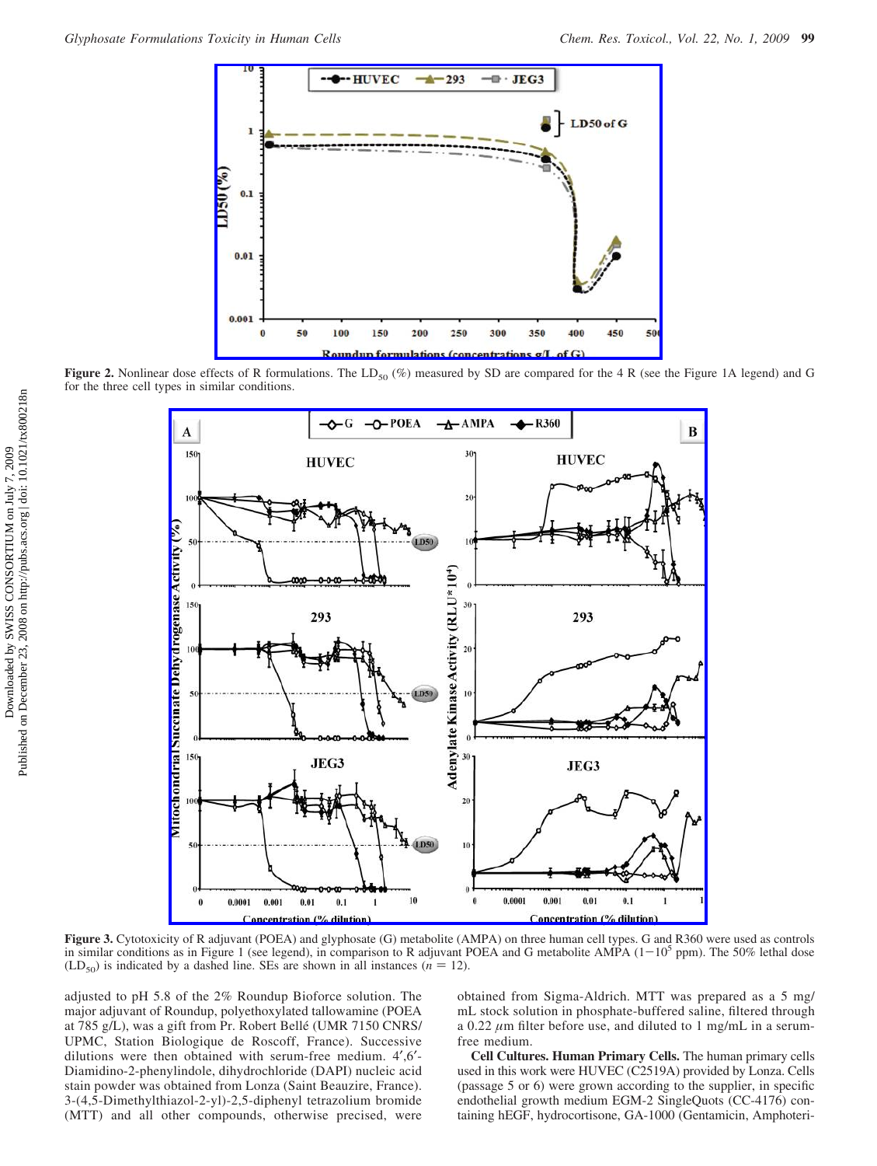

**Figure 2.** Nonlinear dose effects of R formulations. The  $LD_{50}$  (%) measured by SD are compared for the 4 R (see the Figure 1A legend) and G for the three cell types in similar conditions.



**Figure 3.** Cytotoxicity of R adjuvant (POEA) and glyphosate (G) metabolite (AMPA) on three human cell types. G and R360 were used as controls in similar conditions as in Figure 1 (see legend), in comparison to R adjuvant POEA and G metabolite AMPA  $(1-10^5$  ppm). The 50% lethal dose  $(LD_{50})$  is indicated by a dashed line. SEs are shown in all instances ( $n = 12$ ).

adjusted to pH 5.8 of the 2% Roundup Bioforce solution. The major adjuvant of Roundup, polyethoxylated tallowamine (POEA at 785 g/L), was a gift from Pr. Robert Bellé (UMR 7150 CNRS/ UPMC, Station Biologique de Roscoff, France). Successive dilutions were then obtained with serum-free medium. 4′,6′- Diamidino-2-phenylindole, dihydrochloride (DAPI) nucleic acid stain powder was obtained from Lonza (Saint Beauzire, France). 3-(4,5-Dimethylthiazol-2-yl)-2,5-diphenyl tetrazolium bromide (MTT) and all other compounds, otherwise precised, were

obtained from Sigma-Aldrich. MTT was prepared as a 5 mg/ mL stock solution in phosphate-buffered saline, filtered through a  $0.22 \mu$ m filter before use, and diluted to 1 mg/mL in a serumfree medium.

**Cell Cultures. Human Primary Cells.** The human primary cells used in this work were HUVEC (C2519A) provided by Lonza. Cells (passage 5 or 6) were grown according to the supplier, in specific endothelial growth medium EGM-2 SingleQuots (CC-4176) containing hEGF, hydrocortisone, GA-1000 (Gentamicin, Amphoteri-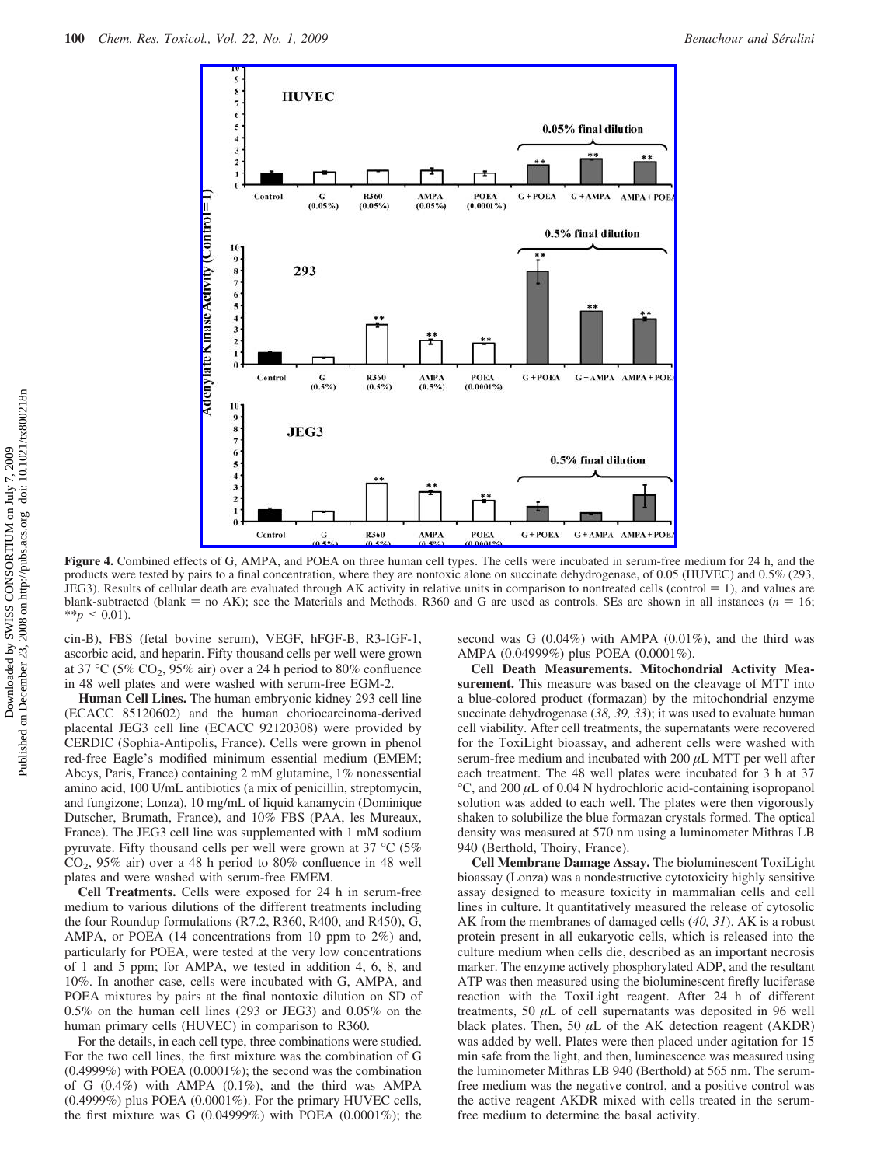

**Figure 4.** Combined effects of G, AMPA, and POEA on three human cell types. The cells were incubated in serum-free medium for 24 h, and the products were tested by pairs to a final concentration, where they are nontoxic alone on succinate dehydrogenase, of 0.05 (HUVEC) and 0.5% (293,  $JEG3$ ). Results of cellular death are evaluated through AK activity in relative units in comparison to nontreated cells (control = 1), and values are blank-subtracted (blank = no AK); see the Materials and Methods. R360 and G are used as controls. SEs are shown in all instances ( $n = 16$ ;  $**_p < 0.01$ .

cin-B), FBS (fetal bovine serum), VEGF, hFGF-B, R3-IGF-1, ascorbic acid, and heparin. Fifty thousand cells per well were grown at 37 °C (5% CO<sub>2</sub>, 95% air) over a 24 h period to 80% confluence in 48 well plates and were washed with serum-free EGM-2.

**Human Cell Lines.** The human embryonic kidney 293 cell line (ECACC 85120602) and the human choriocarcinoma-derived placental JEG3 cell line (ECACC 92120308) were provided by CERDIC (Sophia-Antipolis, France). Cells were grown in phenol red-free Eagle's modified minimum essential medium (EMEM; Abcys, Paris, France) containing 2 mM glutamine, 1% nonessential amino acid, 100 U/mL antibiotics (a mix of penicillin, streptomycin, and fungizone; Lonza), 10 mg/mL of liquid kanamycin (Dominique Dutscher, Brumath, France), and 10% FBS (PAA, les Mureaux, France). The JEG3 cell line was supplemented with 1 mM sodium pyruvate. Fifty thousand cells per well were grown at 37 °C (5%  $CO<sub>2</sub>$ , 95% air) over a 48 h period to 80% confluence in 48 well plates and were washed with serum-free EMEM.

**Cell Treatments.** Cells were exposed for 24 h in serum-free medium to various dilutions of the different treatments including the four Roundup formulations (R7.2, R360, R400, and R450), G, AMPA, or POEA (14 concentrations from 10 ppm to 2%) and, particularly for POEA, were tested at the very low concentrations of 1 and 5 ppm; for AMPA, we tested in addition 4, 6, 8, and 10%. In another case, cells were incubated with G, AMPA, and POEA mixtures by pairs at the final nontoxic dilution on SD of 0.5% on the human cell lines (293 or JEG3) and 0.05% on the human primary cells (HUVEC) in comparison to R360.

For the details, in each cell type, three combinations were studied. For the two cell lines, the first mixture was the combination of G  $(0.4999\%)$  with POEA  $(0.0001\%)$ ; the second was the combination of G  $(0.4\%)$  with AMPA  $(0.1\%)$ , and the third was AMPA  $(0.4999\%)$  plus POEA  $(0.0001\%)$ . For the primary HUVEC cells. the first mixture was G  $(0.04999\%)$  with POEA  $(0.0001\%)$ ; the second was G  $(0.04\%)$  with AMPA  $(0.01\%)$ , and the third was AMPA (0.04999%) plus POEA (0.0001%).

**Cell Death Measurements. Mitochondrial Activity Measurement.** This measure was based on the cleavage of MTT into a blue-colored product (formazan) by the mitochondrial enzyme succinate dehydrogenase (*38, 39, 33*); it was used to evaluate human cell viability. After cell treatments, the supernatants were recovered for the ToxiLight bioassay, and adherent cells were washed with serum-free medium and incubated with 200 *µ*L MTT per well after each treatment. The 48 well plates were incubated for 3 h at 37 °C, and 200 *µ*L of 0.04 N hydrochloric acid-containing isopropanol solution was added to each well. The plates were then vigorously shaken to solubilize the blue formazan crystals formed. The optical density was measured at 570 nm using a luminometer Mithras LB 940 (Berthold, Thoiry, France).

**Cell Membrane Damage Assay.** The bioluminescent ToxiLight bioassay (Lonza) was a nondestructive cytotoxicity highly sensitive assay designed to measure toxicity in mammalian cells and cell lines in culture. It quantitatively measured the release of cytosolic AK from the membranes of damaged cells (*40, 31*). AK is a robust protein present in all eukaryotic cells, which is released into the culture medium when cells die, described as an important necrosis marker. The enzyme actively phosphorylated ADP, and the resultant ATP was then measured using the bioluminescent firefly luciferase reaction with the ToxiLight reagent. After 24 h of different treatments, 50  $\mu$ L of cell supernatants was deposited in 96 well black plates. Then, 50 *µ*L of the AK detection reagent (AKDR) was added by well. Plates were then placed under agitation for 15 min safe from the light, and then, luminescence was measured using the luminometer Mithras LB 940 (Berthold) at 565 nm. The serumfree medium was the negative control, and a positive control was the active reagent AKDR mixed with cells treated in the serumfree medium to determine the basal activity.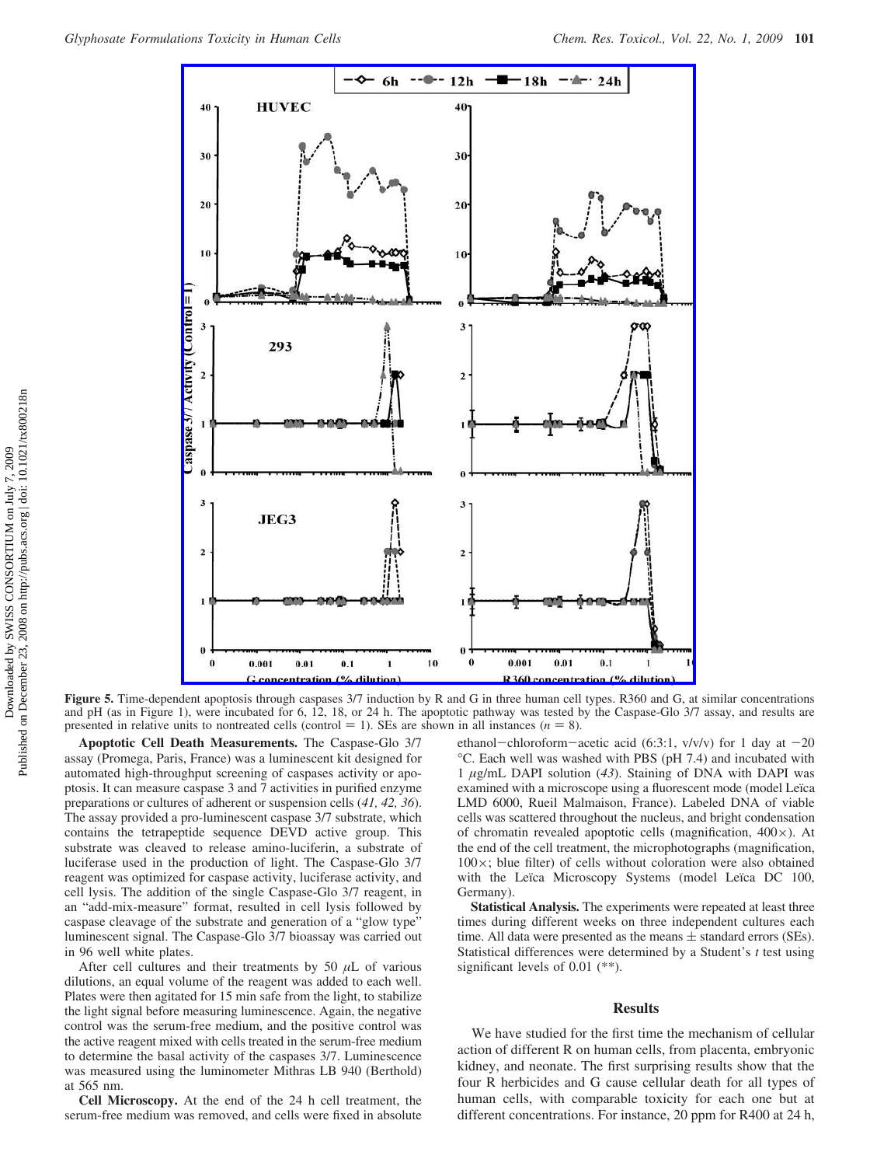

**Figure 5.** Time-dependent apoptosis through caspases 3/7 induction by R and G in three human cell types. R360 and G, at similar concentrations and pH (as in Figure 1), were incubated for 6, 12, 18, or 24 h. The apoptotic pathway was tested by the Caspase-Glo 3/7 assay, and results are presented in relative units to nontreated cells (control  $= 1$ ). SEs are shown in all instances ( $n = 8$ ).

**Apoptotic Cell Death Measurements.** The Caspase-Glo 3/7 assay (Promega, Paris, France) was a luminescent kit designed for automated high-throughput screening of caspases activity or apoptosis. It can measure caspase 3 and 7 activities in purified enzyme preparations or cultures of adherent or suspension cells (*41, 42, 36*). The assay provided a pro-luminescent caspase 3/7 substrate, which contains the tetrapeptide sequence DEVD active group. This substrate was cleaved to release amino-luciferin, a substrate of luciferase used in the production of light. The Caspase-Glo 3/7 reagent was optimized for caspase activity, luciferase activity, and cell lysis. The addition of the single Caspase-Glo 3/7 reagent, in an "add-mix-measure" format, resulted in cell lysis followed by caspase cleavage of the substrate and generation of a "glow type" luminescent signal. The Caspase-Glo 3/7 bioassay was carried out in 96 well white plates.

After cell cultures and their treatments by 50  $\mu$ L of various dilutions, an equal volume of the reagent was added to each well. Plates were then agitated for 15 min safe from the light, to stabilize the light signal before measuring luminescence. Again, the negative control was the serum-free medium, and the positive control was the active reagent mixed with cells treated in the serum-free medium to determine the basal activity of the caspases 3/7. Luminescence was measured using the luminometer Mithras LB 940 (Berthold) at 565 nm.

**Cell Microscopy.** At the end of the 24 h cell treatment, the serum-free medium was removed, and cells were fixed in absolute ethanol-chloroform-acetic acid (6:3:1, v/v/v) for 1 day at  $-20$ °C. Each well was washed with PBS (pH 7.4) and incubated with 1 *µ*g/mL DAPI solution (*43*). Staining of DNA with DAPI was examined with a microscope using a fluorescent mode (model Leïca LMD 6000, Rueil Malmaison, France). Labeled DNA of viable cells was scattered throughout the nucleus, and bright condensation of chromatin revealed apoptotic cells (magnification,  $400 \times$ ). At the end of the cell treatment, the microphotographs (magnification,  $100\times$ ; blue filter) of cells without coloration were also obtained with the Leïca Microscopy Systems (model Leïca DC 100, Germany).

**Statistical Analysis.** The experiments were repeated at least three times during different weeks on three independent cultures each time. All data were presented as the means  $\pm$  standard errors (SEs). Statistical differences were determined by a Student's *t* test using significant levels of 0.01 (\*\*).

# **Results**

We have studied for the first time the mechanism of cellular action of different R on human cells, from placenta, embryonic kidney, and neonate. The first surprising results show that the four R herbicides and G cause cellular death for all types of human cells, with comparable toxicity for each one but at different concentrations. For instance, 20 ppm for R400 at 24 h,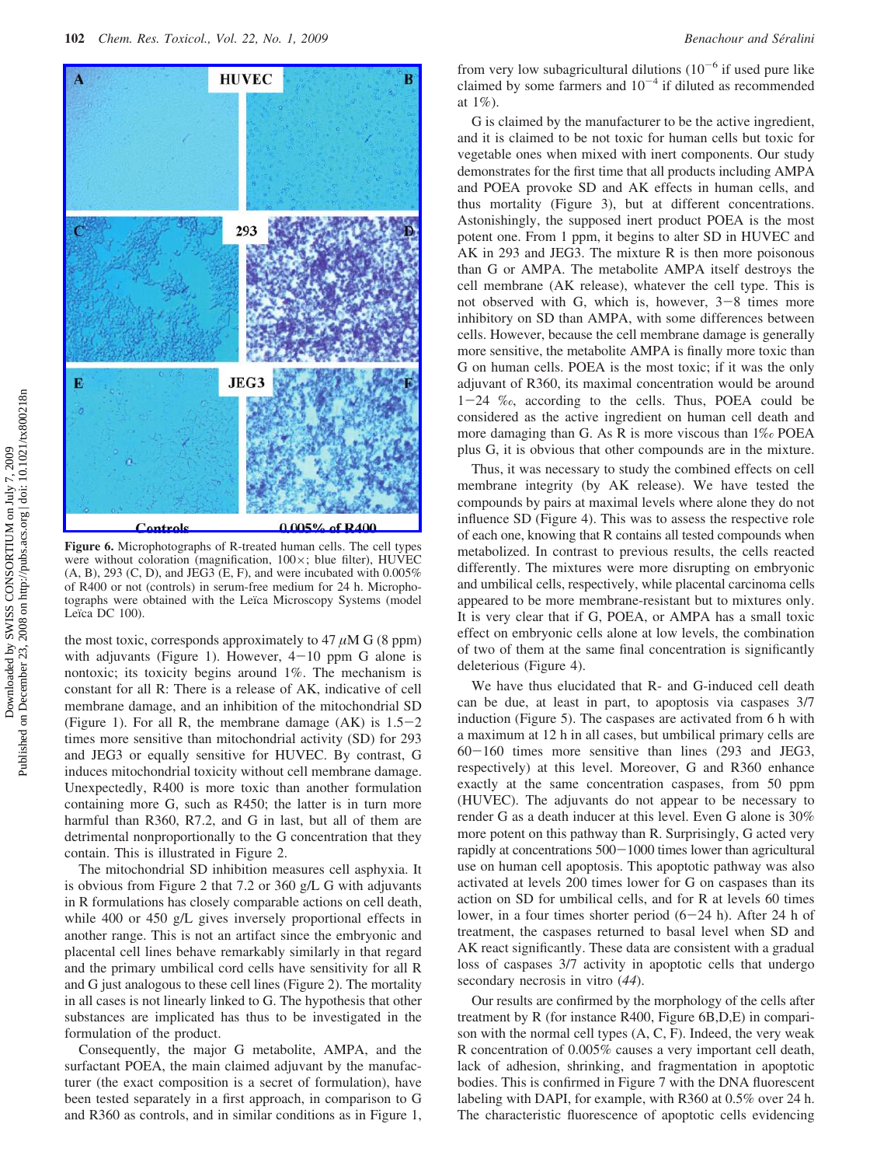

**Figure 6.** Microphotographs of R-treated human cells. The cell types were without coloration (magnification,  $100 \times$ ; blue filter), HUVEC  $(A, B)$ , 293  $(C, D)$ , and JEG3  $(E, F)$ , and were incubated with 0.005% of R400 or not (controls) in serum-free medium for 24 h. Microphotographs were obtained with the Leïca Microscopy Systems (model Leïca DC 100).

the most toxic, corresponds approximately to  $47 \mu M$  G (8 ppm) with adjuvants (Figure 1). However,  $4-10$  ppm G alone is nontoxic; its toxicity begins around 1%. The mechanism is constant for all R: There is a release of AK, indicative of cell membrane damage, and an inhibition of the mitochondrial SD (Figure 1). For all R, the membrane damage  $(AK)$  is  $1.5-2$ times more sensitive than mitochondrial activity (SD) for 293 and JEG3 or equally sensitive for HUVEC. By contrast, G induces mitochondrial toxicity without cell membrane damage. Unexpectedly, R400 is more toxic than another formulation containing more G, such as R450; the latter is in turn more harmful than R360, R7.2, and G in last, but all of them are detrimental nonproportionally to the G concentration that they contain. This is illustrated in Figure 2.

The mitochondrial SD inhibition measures cell asphyxia. It is obvious from Figure 2 that 7.2 or 360 g/L G with adjuvants in R formulations has closely comparable actions on cell death, while 400 or 450 g/L gives inversely proportional effects in another range. This is not an artifact since the embryonic and placental cell lines behave remarkably similarly in that regard and the primary umbilical cord cells have sensitivity for all R and G just analogous to these cell lines (Figure 2). The mortality in all cases is not linearly linked to G. The hypothesis that other substances are implicated has thus to be investigated in the formulation of the product.

Consequently, the major G metabolite, AMPA, and the surfactant POEA, the main claimed adjuvant by the manufacturer (the exact composition is a secret of formulation), have been tested separately in a first approach, in comparison to G and R360 as controls, and in similar conditions as in Figure 1, from very low subagricultural dilutions  $(10^{-6}$  if used pure like claimed by some farmers and  $10^{-4}$  if diluted as recommended at 1%).

G is claimed by the manufacturer to be the active ingredient, and it is claimed to be not toxic for human cells but toxic for vegetable ones when mixed with inert components. Our study demonstrates for the first time that all products including AMPA and POEA provoke SD and AK effects in human cells, and thus mortality (Figure 3), but at different concentrations. Astonishingly, the supposed inert product POEA is the most potent one. From 1 ppm, it begins to alter SD in HUVEC and AK in 293 and JEG3. The mixture R is then more poisonous than G or AMPA. The metabolite AMPA itself destroys the cell membrane (AK release), whatever the cell type. This is not observed with G, which is, however, 3-8 times more inhibitory on SD than AMPA, with some differences between cells. However, because the cell membrane damage is generally more sensitive, the metabolite AMPA is finally more toxic than G on human cells. POEA is the most toxic; if it was the only adjuvant of R360, its maximal concentration would be around <sup>1</sup>-24 ‰, according to the cells. Thus, POEA could be considered as the active ingredient on human cell death and more damaging than G. As R is more viscous than 1‰ POEA plus G, it is obvious that other compounds are in the mixture.

Thus, it was necessary to study the combined effects on cell membrane integrity (by AK release). We have tested the compounds by pairs at maximal levels where alone they do not influence SD (Figure 4). This was to assess the respective role of each one, knowing that R contains all tested compounds when metabolized. In contrast to previous results, the cells reacted differently. The mixtures were more disrupting on embryonic and umbilical cells, respectively, while placental carcinoma cells appeared to be more membrane-resistant but to mixtures only. It is very clear that if G, POEA, or AMPA has a small toxic effect on embryonic cells alone at low levels, the combination of two of them at the same final concentration is significantly deleterious (Figure 4).

We have thus elucidated that R- and G-induced cell death can be due, at least in part, to apoptosis via caspases 3/7 induction (Figure 5). The caspases are activated from 6 h with a maximum at 12 h in all cases, but umbilical primary cells are <sup>60</sup>-160 times more sensitive than lines (293 and JEG3, respectively) at this level. Moreover, G and R360 enhance exactly at the same concentration caspases, from 50 ppm (HUVEC). The adjuvants do not appear to be necessary to render G as a death inducer at this level. Even G alone is 30% more potent on this pathway than R. Surprisingly, G acted very rapidly at concentrations 500-1000 times lower than agricultural use on human cell apoptosis. This apoptotic pathway was also activated at levels 200 times lower for G on caspases than its action on SD for umbilical cells, and for R at levels 60 times lower, in a four times shorter period  $(6-24 h)$ . After 24 h of treatment, the caspases returned to basal level when SD and AK react significantly. These data are consistent with a gradual loss of caspases 3/7 activity in apoptotic cells that undergo secondary necrosis in vitro (*44*).

Our results are confirmed by the morphology of the cells after treatment by R (for instance R400, Figure 6B,D,E) in comparison with the normal cell types (A, C, F). Indeed, the very weak R concentration of 0.005% causes a very important cell death, lack of adhesion, shrinking, and fragmentation in apoptotic bodies. This is confirmed in Figure 7 with the DNA fluorescent labeling with DAPI, for example, with R360 at 0.5% over 24 h. The characteristic fluorescence of apoptotic cells evidencing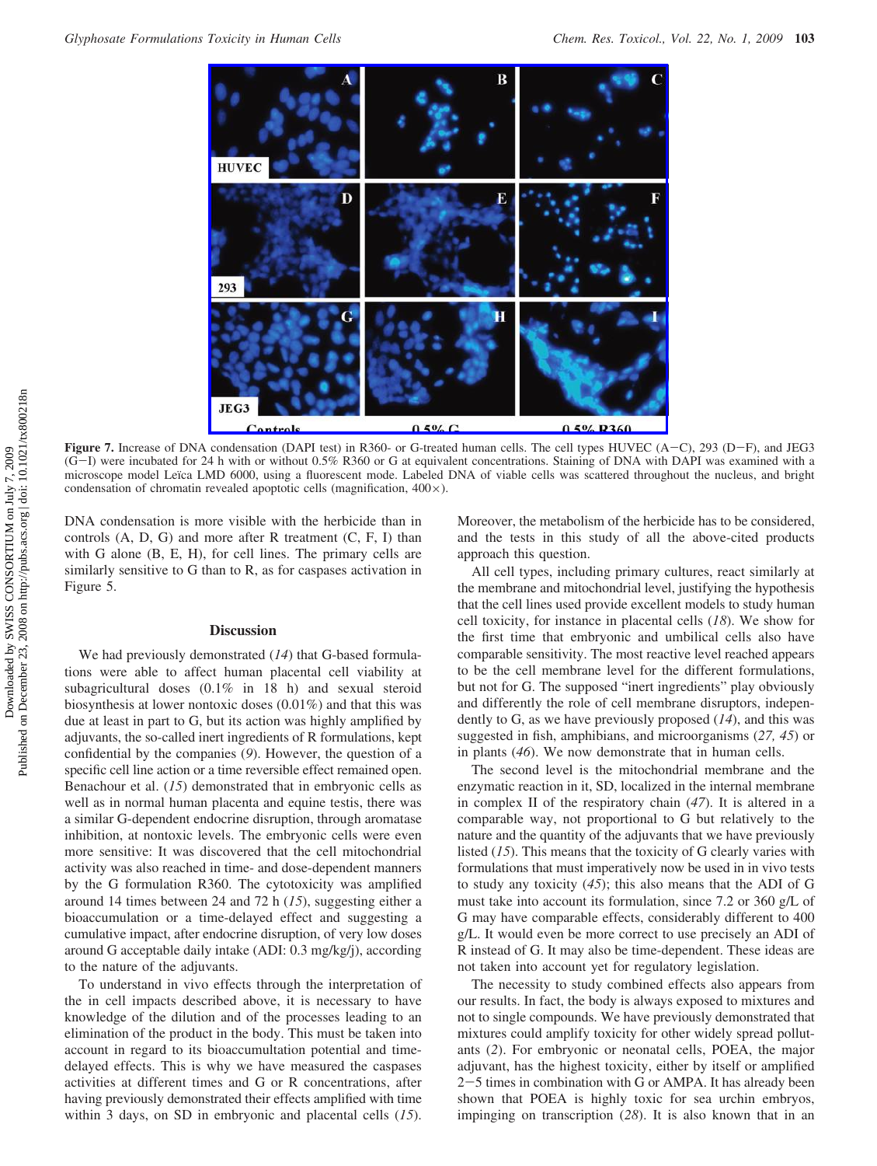

**Figure 7.** Increase of DNA condensation (DAPI test) in R360- or G-treated human cells. The cell types HUVEC (A-C), 293 (D-F), and JEG3 (G-I) were incubated for 24 h with or without 0.5% R360 or G at equivalent concentrations. Staining of DNA with DAPI was examined with a microscope model Leïca LMD 6000, using a fluorescent mode. Labeled DNA of viable cells was scattered throughout the nucleus, and bright condensation of chromatin revealed apoptotic cells (magnification, 400×).

DNA condensation is more visible with the herbicide than in controls (A, D, G) and more after R treatment (C, F, I) than with G alone (B, E, H), for cell lines. The primary cells are similarly sensitive to G than to R, as for caspases activation in Figure 5.

## **Discussion**

We had previously demonstrated (*14*) that G-based formulations were able to affect human placental cell viability at subagricultural doses (0.1% in 18 h) and sexual steroid biosynthesis at lower nontoxic doses (0.01%) and that this was due at least in part to G, but its action was highly amplified by adjuvants, the so-called inert ingredients of R formulations, kept confidential by the companies (*9*). However, the question of a specific cell line action or a time reversible effect remained open. Benachour et al. (*15*) demonstrated that in embryonic cells as well as in normal human placenta and equine testis, there was a similar G-dependent endocrine disruption, through aromatase inhibition, at nontoxic levels. The embryonic cells were even more sensitive: It was discovered that the cell mitochondrial activity was also reached in time- and dose-dependent manners by the G formulation R360. The cytotoxicity was amplified around 14 times between 24 and 72 h (*15*), suggesting either a bioaccumulation or a time-delayed effect and suggesting a cumulative impact, after endocrine disruption, of very low doses around G acceptable daily intake (ADI: 0.3 mg/kg/j), according to the nature of the adjuvants.

To understand in vivo effects through the interpretation of the in cell impacts described above, it is necessary to have knowledge of the dilution and of the processes leading to an elimination of the product in the body. This must be taken into account in regard to its bioaccumultation potential and timedelayed effects. This is why we have measured the caspases activities at different times and G or R concentrations, after having previously demonstrated their effects amplified with time within 3 days, on SD in embryonic and placental cells (*15*).

Moreover, the metabolism of the herbicide has to be considered, and the tests in this study of all the above-cited products approach this question.

All cell types, including primary cultures, react similarly at the membrane and mitochondrial level, justifying the hypothesis that the cell lines used provide excellent models to study human cell toxicity, for instance in placental cells (*18*). We show for the first time that embryonic and umbilical cells also have comparable sensitivity. The most reactive level reached appears to be the cell membrane level for the different formulations, but not for G. The supposed "inert ingredients" play obviously and differently the role of cell membrane disruptors, independently to G, as we have previously proposed (*14*), and this was suggested in fish, amphibians, and microorganisms (*27, 45*) or in plants (*46*). We now demonstrate that in human cells.

The second level is the mitochondrial membrane and the enzymatic reaction in it, SD, localized in the internal membrane in complex II of the respiratory chain (*47*). It is altered in a comparable way, not proportional to G but relatively to the nature and the quantity of the adjuvants that we have previously listed (*15*). This means that the toxicity of G clearly varies with formulations that must imperatively now be used in in vivo tests to study any toxicity (*45*); this also means that the ADI of G must take into account its formulation, since 7.2 or 360 g/L of G may have comparable effects, considerably different to 400 g/L. It would even be more correct to use precisely an ADI of R instead of G. It may also be time-dependent. These ideas are not taken into account yet for regulatory legislation.

The necessity to study combined effects also appears from our results. In fact, the body is always exposed to mixtures and not to single compounds. We have previously demonstrated that mixtures could amplify toxicity for other widely spread pollutants (*2*). For embryonic or neonatal cells, POEA, the major adjuvant, has the highest toxicity, either by itself or amplified <sup>2</sup>-5 times in combination with G or AMPA. It has already been shown that POEA is highly toxic for sea urchin embryos, impinging on transcription (*28*). It is also known that in an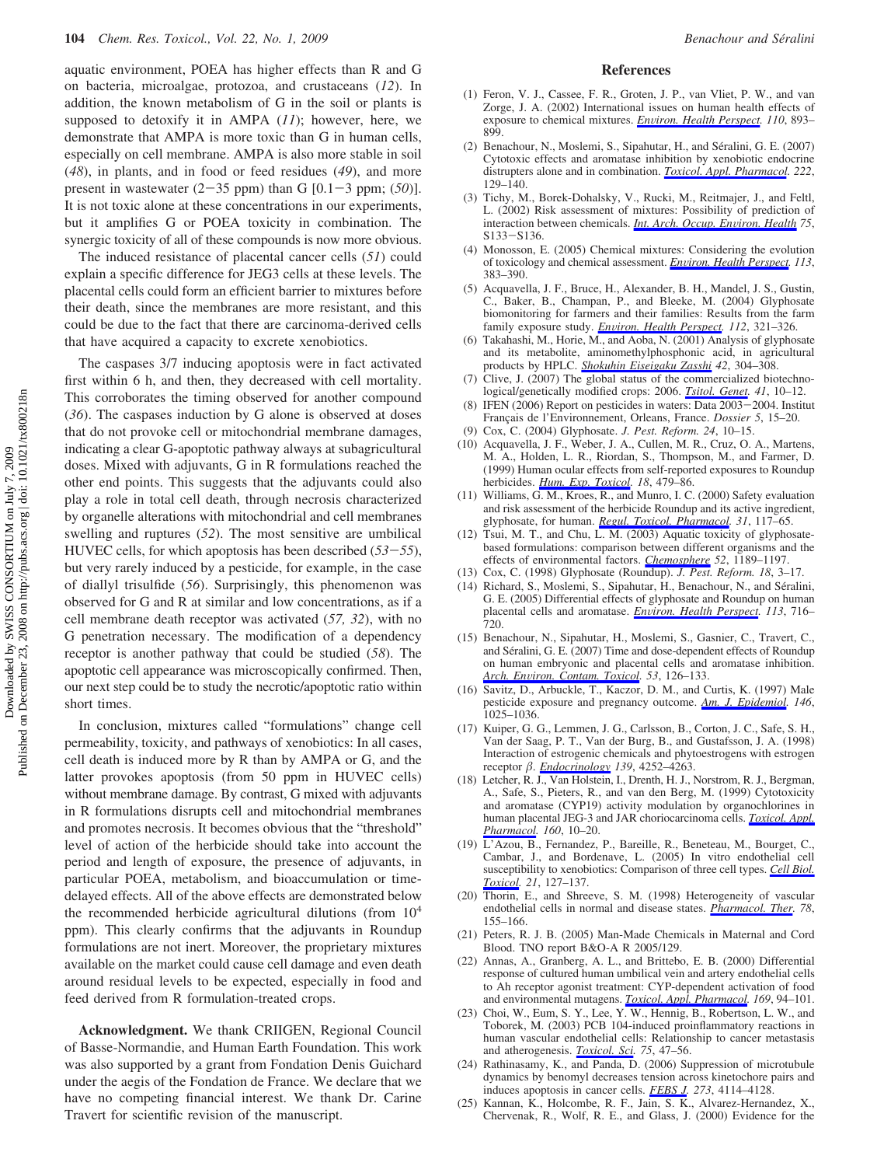aquatic environment, POEA has higher effects than R and G on bacteria, microalgae, protozoa, and crustaceans (*12*). In addition, the known metabolism of G in the soil or plants is supposed to detoxify it in AMPA (*11*); however, here, we demonstrate that AMPA is more toxic than G in human cells, especially on cell membrane. AMPA is also more stable in soil (*48*), in plants, and in food or feed residues (*49*), and more present in wastewater  $(2-35$  ppm) than G  $[0.1-3$  ppm;  $(50)$ ]. It is not toxic alone at these concentrations in our experiments, but it amplifies G or POEA toxicity in combination. The synergic toxicity of all of these compounds is now more obvious.

The induced resistance of placental cancer cells (*51*) could explain a specific difference for JEG3 cells at these levels. The placental cells could form an efficient barrier to mixtures before their death, since the membranes are more resistant, and this could be due to the fact that there are carcinoma-derived cells that have acquired a capacity to excrete xenobiotics.

The caspases 3/7 inducing apoptosis were in fact activated first within 6 h, and then, they decreased with cell mortality. This corroborates the timing observed for another compound (*36*). The caspases induction by G alone is observed at doses that do not provoke cell or mitochondrial membrane damages, indicating a clear G-apoptotic pathway always at subagricultural doses. Mixed with adjuvants, G in R formulations reached the other end points. This suggests that the adjuvants could also play a role in total cell death, through necrosis characterized by organelle alterations with mitochondrial and cell membranes swelling and ruptures (*52*). The most sensitive are umbilical HUVEC cells, for which apoptosis has been described (*53*-*55*), but very rarely induced by a pesticide, for example, in the case of diallyl trisulfide (*56*). Surprisingly, this phenomenon was observed for G and R at similar and low concentrations, as if a cell membrane death receptor was activated (*57, 32*), with no G penetration necessary. The modification of a dependency receptor is another pathway that could be studied (*58*). The apoptotic cell appearance was microscopically confirmed. Then, our next step could be to study the necrotic/apoptotic ratio within short times.

In conclusion, mixtures called "formulations" change cell permeability, toxicity, and pathways of xenobiotics: In all cases, cell death is induced more by R than by AMPA or G, and the latter provokes apoptosis (from 50 ppm in HUVEC cells) without membrane damage. By contrast, G mixed with adjuvants in R formulations disrupts cell and mitochondrial membranes and promotes necrosis. It becomes obvious that the "threshold" level of action of the herbicide should take into account the period and length of exposure, the presence of adjuvants, in particular POEA, metabolism, and bioaccumulation or timedelayed effects. All of the above effects are demonstrated below the recommended herbicide agricultural dilutions (from  $10<sup>4</sup>$ ppm). This clearly confirms that the adjuvants in Roundup formulations are not inert. Moreover, the proprietary mixtures available on the market could cause cell damage and even death around residual levels to be expected, especially in food and feed derived from R formulation-treated crops.

**Acknowledgment.** We thank CRIIGEN, Regional Council of Basse-Normandie, and Human Earth Foundation. This work was also supported by a grant from Fondation Denis Guichard under the aegis of the Fondation de France. We declare that we have no competing financial interest. We thank Dr. Carine Travert for scientific revision of the manuscript.

#### **References**

- (1) Feron, V. J., Cassee, F. R., Groten, J. P., van Vliet, P. W., and van Zorge, J. A. (2002) International issues on human health effects of exposure to chemical mixtures. *Environ. Health Perspect.* 110, 893-899.
- (2) Benachour, N., Moslemi, S., Sipahutar, H., and Séralini, G. E. (2007) Cytotoxic effects and aromatase inhibition by xenobiotic endocrine distrupters alone and in combination. *Toxicol. Appl. Pharmacol. 222*, 129–140.
- (3) Tichy, M., Borek-Dohalsky, V., Rucki, M., Reitmajer, J., and Feltl, L. (2002) Risk assessment of mixtures: Possibility of prediction of interaction between chemicals. *Int. Arch. Occup. Environ. Health* 75, S133-S136.
- (4) Monosson, E. (2005) Chemical mixtures: Considering the evolution of toxicology and chemical assessment. *Environ. Health Perspect.* 113, 383–390.
- (5) Acquavella, J. F., Bruce, H., Alexander, B. H., Mandel, J. S., Gustin, C., Baker, B., Champan, P., and Bleeke, M. (2004) Glyphosate biomonitoring for farmers and their families: Results from the farm family exposure study. *Environ. Health Perspect.* 112, 321-326.
- (6) Takahashi, M., Horie, M., and Aoba, N. (2001) Analysis of glyphosate and its metabolite, aminomethylphosphonic acid, in agricultural products by HPLC. *Shokuhin Eiseigaku Zasshi 42*, 304–308.
- (7) Clive, J. (2007) The global status of the commercialized biotechnological/genetically modified crops: 2006. *Tsitol. Genet. 41*, 10–12.
- (8) IFEN (2006) Report on pesticides in waters: Data 2003-2004. Institut Français de l'Environnement, Orleans, France. *Dossier 5*, 15-20.
- (9) Cox, C. (2004) Glyphosate. *J. Pest. Reform. 24*, 10–15.
- (10) Acquavella, J. F., Weber, J. A., Cullen, M. R., Cruz, O. A., Martens, M. A., Holden, L. R., Riordan, S., Thompson, M., and Farmer, D. (1999) Human ocular effects from self-reported exposures to Roundup herbicides. *Hum. Exp. Toxicol. 18*, 479–86.
- (11) Williams, G. M., Kroes, R., and Munro, I. C. (2000) Safety evaluation and risk assessment of the herbicide Roundup and its active ingredient, glyphosate, for human. *Regul. Toxicol. Pharmacol. 31*, 117–65.
- (12) Tsui, M. T., and Chu, L. M. (2003) Aquatic toxicity of glyphosatebased formulations: comparison between different organisms and the effects of environmental factors. *Chemosphere 52*, 1189–1197.
- (13) Cox, C. (1998) Glyphosate (Roundup). *J. Pest. Reform. 18*, 3–17.
- (14) Richard, S., Moslemi, S., Sipahutar, H., Benachour, N., and Séralini, G. E. (2005) Differential effects of glyphosate and Roundup on human placental cells and aromatase. *En*V*iron. Health Perspect. 113*, 716– 720.
- (15) Benachour, N., Sipahutar, H., Moslemi, S., Gasnier, C., Travert, C., and Séralini, G. E. (2007) Time and dose-dependent effects of Roundup on human embryonic and placental cells and aromatase inhibition. *Arch. Environ. Contam. Toxicol.* 53, 126–133.<br>(16) Savitz, D., Arbuckle, T., Kaczor, D. M., and Curtis, K. (1997) Male
- pesticide exposure and pregnancy outcome. *Am. J. Epidemiol. 146*,  $\left[1025 - 1036\right]$ .
- (17) Kuiper, G. G., Lemmen, J. G., Carlsson, B., Corton, J. C., Safe, S. H., Van der Saag, P. T., Van der Burg, B., and Gustafsson, J. A. (1998) Interaction of estrogenic chemicals and phytoestrogens with estrogen receptor  $\beta$ . *Endocrinology* 139, 4252-4263.
- (18) Letcher, R. J., Van Holstein, I., Drenth, H. J., Norstrom, R. J., Bergman, A., Safe, S., Pieters, R., and van den Berg, M. (1999) Cytotoxicity and aromatase (CYP19) activity modulation by organochlorines in human placental JEG-3 and JAR choriocarcinoma cells. *Toxicol. Appl. Pharmacol. 160*, 10–20.
- (19) L'Azou, B., Fernandez, P., Bareille, R., Beneteau, M., Bourget, C., Cambar, J., and Bordenave, L. (2005) In vitro endothelial cell susceptibility to xenobiotics: Comparison of three cell types. *Cell Biol. Toxicol. 21*, 127–137.
- (20) Thorin, E., and Shreeve, S. M. (1998) Heterogeneity of vascular endothelial cells in normal and disease states. *Pharmacol. Ther. 78*, 155–166.
- (21) Peters, R. J. B. (2005) Man-Made Chemicals in Maternal and Cord Blood. TNO report B&O-A R 2005/129.
- (22) Annas, A., Granberg, A. L., and Brittebo, E. B. (2000) Differential response of cultured human umbilical vein and artery endothelial cells to Ah receptor agonist treatment: CYP-dependent activation of food and environmental mutagens. *Toxicol. Appl. Pharmacol. 169*, 94–101.
- (23) Choi, W., Eum, S. Y., Lee, Y. W., Hennig, B., Robertson, L. W., and Toborek, M. (2003) PCB 104-induced proinflammatory reactions in human vascular endothelial cells: Relationship to cancer metastasis and atherogenesis. *Toxicol. Sci. 75*, 47–56.
- (24) Rathinasamy, K., and Panda, D. (2006) Suppression of microtubule dynamics by benomyl decreases tension across kinetochore pairs and induces apoptosis in cancer cells. *FEBS J. 273*, 4114–4128.
- (25) Kannan, K., Holcombe, R. F., Jain, S. K., Alvarez-Hernandez, X., Chervenak, R., Wolf, R. E., and Glass, J. (2000) Evidence for the